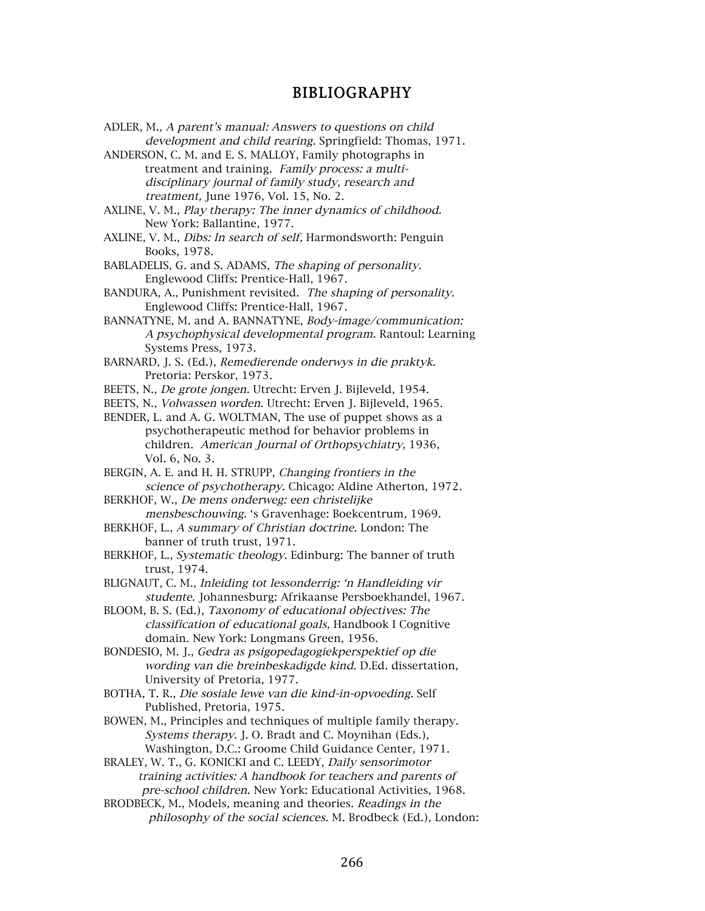## BIBLIOGRAPHY

- ADLER, M., A parent's manual: Answers to questions on child development and child rearing. Springfield: Thomas, 1971.
- ANDERSON, C. M. and E. S. MALLOY, Family photographs in treatment and training. Family process: a multidisciplinary journal of family study, research and treatment, June 1976, Vol. 15, No. 2.
- AXLINE, V. M., Play therapy: The inner dynamics of childhood. New York: Ballantine, 1977.
- AXLINE, V. M., *Dibs: In search of self*, Harmondsworth: Penguin Books, 1978.
- BABLADELIS, G. and S. ADAMS, The shaping of personality. Englewood Cliffs: Prentice-Hall, 1967.
- BANDURA, A., Punishment revisited. The shaping of personality. Englewood Cliffs: Prentice-Hall, 1967.
- BANNATYNE, M. and A. BANNATYNE, Body-image/communication: A psychophysical developmental program. Rantoul: Learning Systems Press, 1973.
- BARNARD, J. S. (Ed.), Remedierende onderwys in die praktyk. Pretoria: Perskor, 1973.
- BEETS, N., De grote jongen. Utrecht: Erven J. Bijleveld, 1954.
- BEETS, N., Volwassen worden. Utrecht: Erven J. Bijleveld, 1965.
- BENDER, L. and A. G. WOLTMAN, The use of puppet shows as a psychotherapeutic method for behavior problems in children. American Journal of Orthopsychiatry, 1936, Vol. 6, No. 3.
- BERGIN, A. E. and H. H. STRUPP, Changing frontiers in the science of psychotherapy. Chicago: Aldine Atherton, 1972.
- BERKHOF, W., De mens onderweg: een christelijke mensbeschouwing. 's Gravenhage: Boekcentrum, 1969.
- BERKHOF, L., A summary of Christian doctrine. London: The banner of truth trust, 1971.
- BERKHOF, L., Systematic theology. Edinburg: The banner of truth trust, 1974.
- BLIGNAUT, C. M., Inleiding tot lessonderrig: 'n Handleiding vir studente. Johannesburg: Afrikaanse Persboekhandel, 1967.
- BLOOM, B. S. (Ed.), Taxonomy of educational objectives: The classification of educational goals, Handbook I Cognitive domain. New York: Longmans Green, 1956.
- BONDESIO, M. J., Gedra as psigopedagogiekperspektief op die wording van die breinbeskadigde kind. D.Ed. dissertation, University of Pretoria, 1977.
- BOTHA, T. R., Die sosiale lewe van die kind-in-opvoeding. Self Published, Pretoria, 1975.
- BOWEN, M., Principles and techniques of multiple family therapy. Systems therapy. J. O. Bradt and C. Moynihan (Eds.), Washington, D.C.: Groome Child Guidance Center, 1971.
- BRALEY, W. T., G. KONICKI and C. LEEDY, Daily sensorimotor training activities: A handbook for teachers and parents of pre-school children. New York: Educational Activities, 1968.
- BRODBECK, M., Models, meaning and theories. Readings in the philosophy of the social sciences. M. Brodbeck (Ed.), London: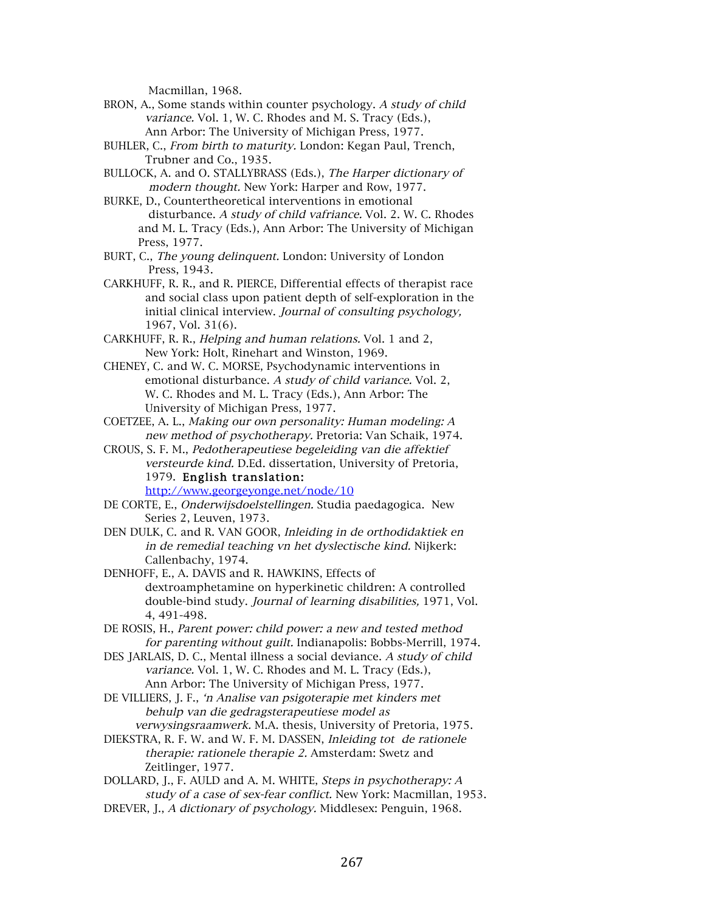Macmillan, 1968.

- BRON, A., Some stands within counter psychology. A study of child variance. Vol. 1, W. C. Rhodes and M. S. Tracy (Eds.), Ann Arbor: The University of Michigan Press, 1977.
- BUHLER, C., From birth to maturity. London: Kegan Paul, Trench, Trubner and Co., 1935.
- BULLOCK, A. and O. STALLYBRASS (Eds.), The Harper dictionary of modern thought. New York: Harper and Row, 1977.
- BURKE, D., Countertheoretical interventions in emotional disturbance. A study of child vafriance. Vol. 2. W. C. Rhodes and M. L. Tracy (Eds.), Ann Arbor: The University of Michigan Press, 1977.
- BURT, C., The young delinquent. London: University of London Press, 1943.
- CARKHUFF, R. R., and R. PIERCE, Differential effects of therapist race and social class upon patient depth of self-exploration in the initial clinical interview. Journal of consulting psychology, 1967, Vol. 31(6).
- CARKHUFF, R. R., Helping and human relations. Vol. 1 and 2, New York: Holt, Rinehart and Winston, 1969.
- CHENEY, C. and W. C. MORSE, Psychodynamic interventions in emotional disturbance. A study of child variance. Vol. 2, W. C. Rhodes and M. L. Tracy (Eds.), Ann Arbor: The University of Michigan Press, 1977.
- COETZEE, A. L., Making our own personality: Human modeling: A new method of psychotherapy. Pretoria: Van Schaik, 1974.
- CROUS, S. F. M., Pedotherapeutiese begeleiding van die affektief versteurde kind. D.Ed. dissertation, University of Pretoria, 1979. English translation: http://www.georgeyonge.net/node/10
- DE CORTE, E., Onderwijsdoelstellingen. Studia paedagogica. New Series 2, Leuven, 1973.
- DEN DULK, C. and R. VAN GOOR, Inleiding in de orthodidaktiek en in de remedial teaching vn het dyslectische kind. Nijkerk: Callenbachy, 1974.
- DENHOFF, E., A. DAVIS and R. HAWKINS, Effects of dextroamphetamine on hyperkinetic children: A controlled double-bind study. Journal of learning disabilities, 1971, Vol. 4, 491-498.
- DE ROSIS, H., Parent power: child power: a new and tested method for parenting without guilt. Indianapolis: Bobbs-Merrill, 1974.
- DES JARLAIS, D. C., Mental illness a social deviance. A study of child variance. Vol. 1, W. C. Rhodes and M. L. Tracy (Eds.), Ann Arbor: The University of Michigan Press, 1977.
- DE VILLIERS, J. F., 'n Analise van psigoterapie met kinders met behulp van die gedragsterapeutiese model as verwysingsraamwerk. M.A. thesis, University of Pretoria, 1975.
- DIEKSTRA, R. F. W. and W. F. M. DASSEN, Inleiding tot de rationele therapie: rationele therapie 2. Amsterdam: Swetz and Zeitlinger, 1977.
- DOLLARD, J., F. AULD and A. M. WHITE, Steps in psychotherapy: A study of a case of sex-fear conflict. New York: Macmillan, 1953.
- DREVER, J., A dictionary of psychology. Middlesex: Penguin, 1968.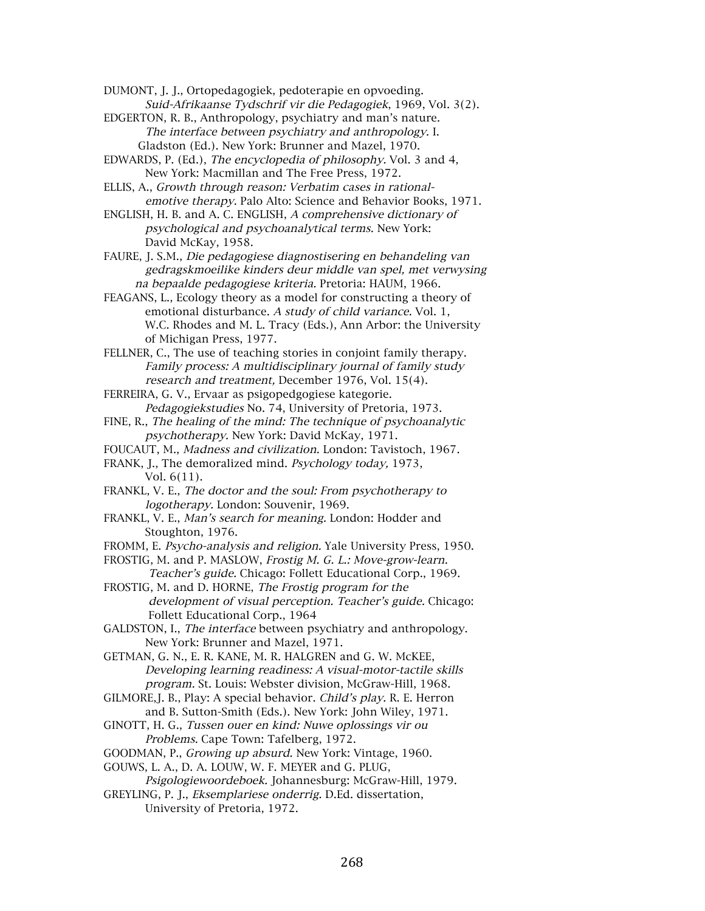DUMONT, J. J., Ortopedagogiek, pedoterapie en opvoeding. Suid-Afrikaanse Tydschrif vir die Pedagogiek, 1969, Vol. 3(2).

EDGERTON, R. B., Anthropology, psychiatry and man's nature. The interface between psychiatry and anthropology. I. Gladston (Ed.). New York: Brunner and Mazel, 1970.

EDWARDS, P. (Ed.), The encyclopedia of philosophy. Vol. 3 and 4, New York: Macmillan and The Free Press, 1972.

ELLIS, A., Growth through reason: Verbatim cases in rationalemotive therapy. Palo Alto: Science and Behavior Books, 1971.

ENGLISH, H. B. and A. C. ENGLISH, A comprehensive dictionary of psychological and psychoanalytical terms. New York: David McKay, 1958.

FAURE, J. S.M., Die pedagogiese diagnostisering en behandeling van gedragskmoeilike kinders deur middle van spel, met verwysing na bepaalde pedagogiese kriteria. Pretoria: HAUM, 1966.

FEAGANS, L., Ecology theory as a model for constructing a theory of emotional disturbance. A study of child variance. Vol. 1, W.C. Rhodes and M. L. Tracy (Eds.), Ann Arbor: the University of Michigan Press, 1977.

FELLNER, C., The use of teaching stories in conjoint family therapy. Family process: A multidisciplinary journal of family study research and treatment, December 1976, Vol. 15(4).

FERREIRA, G. V., Ervaar as psigopedgogiese kategorie. Pedagogiekstudies No. 74, University of Pretoria, 1973.

FINE, R., The healing of the mind: The technique of psychoanalytic psychotherapy. New York: David McKay, 1971.

FOUCAUT, M., Madness and civilization. London: Tavistoch, 1967.

FRANK, J., The demoralized mind. Psychology today, 1973, Vol. 6(11).

FRANKL, V. E., The doctor and the soul: From psychotherapy to logotherapy. London: Souvenir, 1969.

- FRANKL, V. E., Man's search for meaning. London: Hodder and Stoughton, 1976.
- FROMM, E. Psycho-analysis and religion. Yale University Press, 1950.

FROSTIG, M. and P. MASLOW, Frostig M. G. L.: Move-grow-learn.

 Teacher's guide. Chicago: Follett Educational Corp., 1969. FROSTIG, M. and D. HORNE, The Frostig program for the

 development of visual perception. Teacher's guide. Chicago: Follett Educational Corp., 1964

GALDSTON, I., The interface between psychiatry and anthropology. New York: Brunner and Mazel, 1971.

GETMAN, G. N., E. R. KANE, M. R. HALGREN and G. W. McKEE, Developing learning readiness: A visual-motor-tactile skills program. St. Louis: Webster division, McGraw-Hill, 1968.

- GILMORE, J. B., Play: A special behavior. Child's play. R. E. Herron and B. Sutton-Smith (Eds.). New York: John Wiley, 1971.
- GINOTT, H. G., Tussen ouer en kind: Nuwe oplossings vir ou Problems. Cape Town: Tafelberg, 1972.

GOODMAN, P., Growing up absurd. New York: Vintage, 1960.

GOUWS, L. A., D. A. LOUW, W. F. MEYER and G. PLUG,

Psigologiewoordeboek. Johannesburg: McGraw-Hill, 1979.

GREYLING, P. J., Eksemplariese onderrig. D.Ed. dissertation, University of Pretoria, 1972.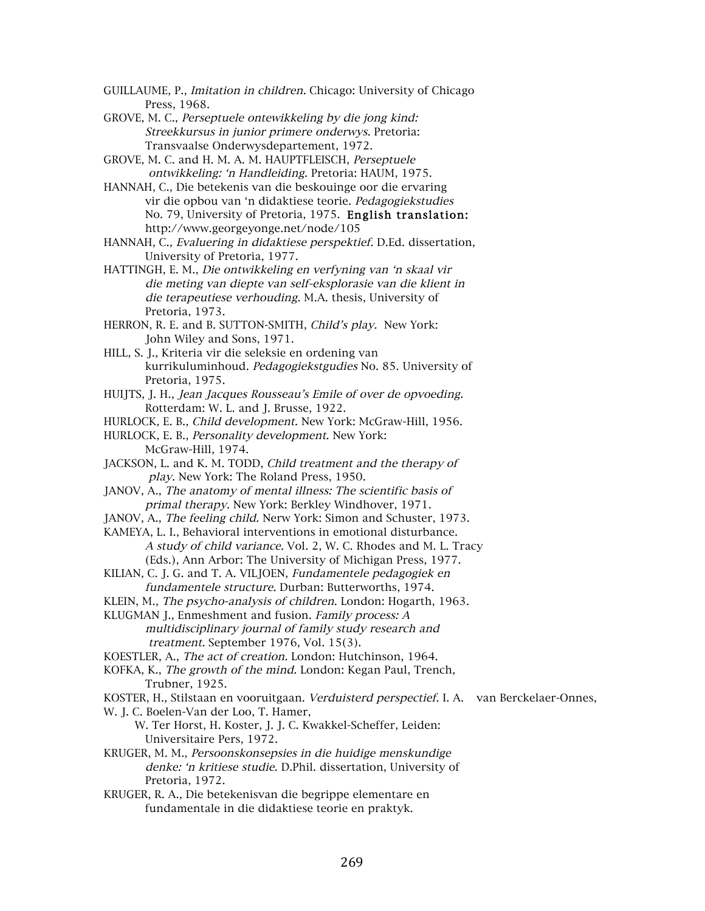- GUILLAUME, P., Imitation in children. Chicago: University of Chicago Press, 1968.
- GROVE, M. C., Perseptuele ontewikkeling by die jong kind: Streekkursus in junior primere onderwys. Pretoria: Transvaalse Onderwysdepartement, 1972.
- GROVE, M. C. and H. M. A. M. HAUPTFLEISCH, Perseptuele ontwikkeling: 'n Handleiding. Pretoria: HAUM, 1975.
- HANNAH, C., Die betekenis van die beskouinge oor die ervaring vir die opbou van 'n didaktiese teorie. Pedagogiekstudies No. 79, University of Pretoria, 1975. English translation: http://www.georgeyonge.net/node/105
- HANNAH, C., Evaluering in didaktiese perspektief. D.Ed. dissertation, University of Pretoria, 1977.
- HATTINGH, E. M., Die ontwikkeling en verfyning van 'n skaal vir die meting van diepte van self-eksplorasie van die klient in die terapeutiese verhouding. M.A. thesis, University of Pretoria, 1973.
- HERRON, R. E. and B. SUTTON-SMITH, Child's play. New York: John Wiley and Sons, 1971.
- HILL, S. J., Kriteria vir die seleksie en ordening van kurrikuluminhoud. Pedagogiekstgudies No. 85. University of Pretoria, 1975.
- HUIJTS, J. H., Jean Jacques Rousseau's Emile of over de opvoeding. Rotterdam: W. L. and J. Brusse, 1922.
- HURLOCK, E. B., Child development. New York: McGraw-Hill, 1956.
- HURLOCK, E. B., Personality development. New York: McGraw-Hill, 1974.
- JACKSON, L. and K. M. TODD, Child treatment and the therapy of play. New York: The Roland Press, 1950.
- JANOV, A., The anatomy of mental illness: The scientific basis of primal therapy. New York: Berkley Windhover, 1971.
- JANOV, A., The feeling child. Nerw York: Simon and Schuster, 1973.
- KAMEYA, L. I., Behavioral interventions in emotional disturbance. A study of child variance. Vol. 2, W. C. Rhodes and M. L. Tracy (Eds.), Ann Arbor: The University of Michigan Press, 1977.
- KILIAN, C. J. G. and T. A. VILJOEN, Fundamentele pedagogiek en fundamentele structure. Durban: Butterworths, 1974.
- KLEIN, M., The psycho-analysis of children. London: Hogarth, 1963.
- KLUGMAN J., Enmeshment and fusion. Family process: A multidisciplinary journal of family study research and treatment. September 1976, Vol. 15(3).
- KOESTLER, A., The act of creation. London: Hutchinson, 1964.
- KOFKA, K., The growth of the mind. London: Kegan Paul, Trench, Trubner, 1925.

KOSTER, H., Stilstaan en vooruitgaan. Verduisterd perspectief. I. A. van Berckelaer-Onnes,

- W. J. C. Boelen-Van der Loo, T. Hamer,
	- W. Ter Horst, H. Koster, J. J. C. Kwakkel-Scheffer, Leiden: Universitaire Pers, 1972.
- KRUGER, M. M., Persoonskonsepsies in die huidige menskundige denke: 'n kritiese studie. D.Phil. dissertation, University of Pretoria, 1972.
- KRUGER, R. A., Die betekenisvan die begrippe elementare en fundamentale in die didaktiese teorie en praktyk.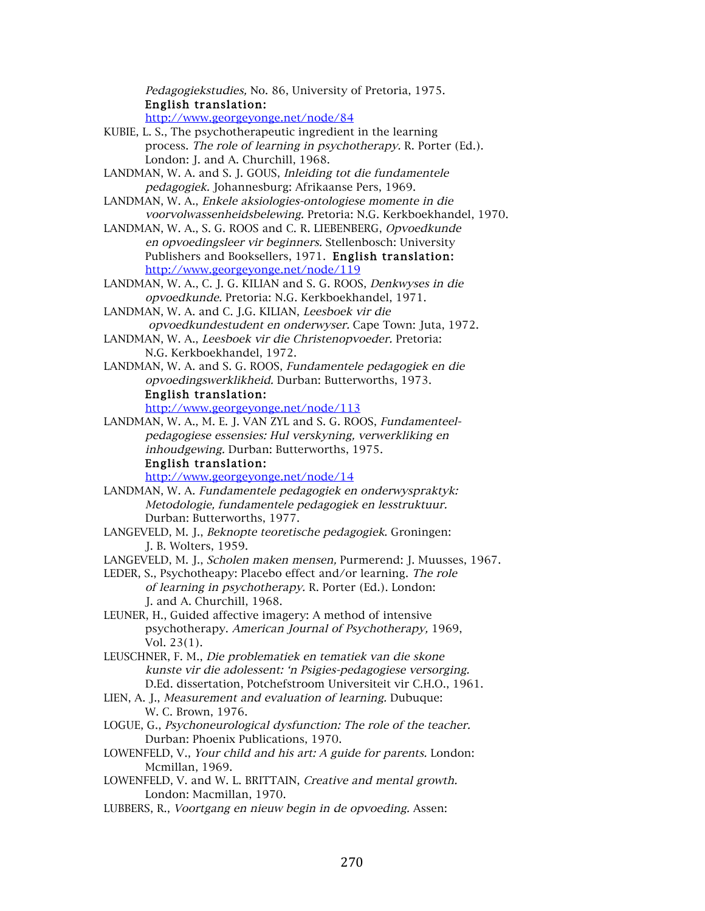Pedagogiekstudies, No. 86, University of Pretoria, 1975. English translation:

http://www.georgeyonge.net/node/84

- KUBIE, L. S., The psychotherapeutic ingredient in the learning process. The role of learning in psychotherapy. R. Porter (Ed.). London: J. and A. Churchill, 1968.
- LANDMAN, W. A. and S. J. GOUS, Inleiding tot die fundamentele pedagogiek. Johannesburg: Afrikaanse Pers, 1969.
- LANDMAN, W. A., Enkele aksiologies-ontologiese momente in die voorvolwassenheidsbelewing. Pretoria: N.G. Kerkboekhandel, 1970.
- LANDMAN, W. A., S. G. ROOS and C. R. LIEBENBERG, Opvoedkunde en opvoedingsleer vir beginners. Stellenbosch: University Publishers and Booksellers, 1971. English translation: http://www.georgeyonge.net/node/119
- LANDMAN, W. A., C. J. G. KILIAN and S. G. ROOS, Denkwyses in die opvoedkunde. Pretoria: N.G. Kerkboekhandel, 1971.
- LANDMAN, W. A. and C. J.G. KILIAN, Leesboek vir die opvoedkundestudent en onderwyser. Cape Town: Juta, 1972.
- LANDMAN, W. A., Leesboek vir die Christenopvoeder. Pretoria: N.G. Kerkboekhandel, 1972.
- LANDMAN, W. A. and S. G. ROOS, Fundamentele pedagogiek en die opvoedingswerklikheid. Durban: Butterworths, 1973. English translation:

http://www.georgeyonge.net/node/113

LANDMAN, W. A., M. E. J. VAN ZYL and S. G. ROOS, Fundamenteelpedagogiese essensies: Hul verskyning, verwerkliking en inhoudgewing. Durban: Butterworths, 1975.

## English translation:

http://www.georgeyonge.net/node/14

- LANDMAN, W. A. Fundamentele pedagogiek en onderwyspraktyk: Metodologie, fundamentele pedagogiek en lesstruktuur. Durban: Butterworths, 1977.
- LANGEVELD, M. J., Beknopte teoretische pedagogiek. Groningen: J. B. Wolters, 1959.
- LANGEVELD, M. J., Scholen maken mensen, Purmerend: J. Muusses, 1967.
- LEDER, S., Psychotheapy: Placebo effect and/or learning. The role of learning in psychotherapy. R. Porter (Ed.). London: J. and A. Churchill, 1968.
- LEUNER, H., Guided affective imagery: A method of intensive psychotherapy. American Journal of Psychotherapy, 1969, Vol. 23(1).
- LEUSCHNER, F. M., Die problematiek en tematiek van die skone kunste vir die adolessent: 'n Psigies-pedagogiese versorging. D.Ed. dissertation, Potchefstroom Universiteit vir C.H.O., 1961.
- LIEN, A. J., Measurement and evaluation of learning. Dubuque: W. C. Brown, 1976.
- LOGUE, G., Psychoneurological dysfunction: The role of the teacher. Durban: Phoenix Publications, 1970.
- LOWENFELD, V., Your child and his art: A guide for parents. London: Mcmillan, 1969.
- LOWENFELD, V. and W. L. BRITTAIN, Creative and mental growth. London: Macmillan, 1970.
- LUBBERS, R., Voortgang en nieuw begin in de opvoeding. Assen: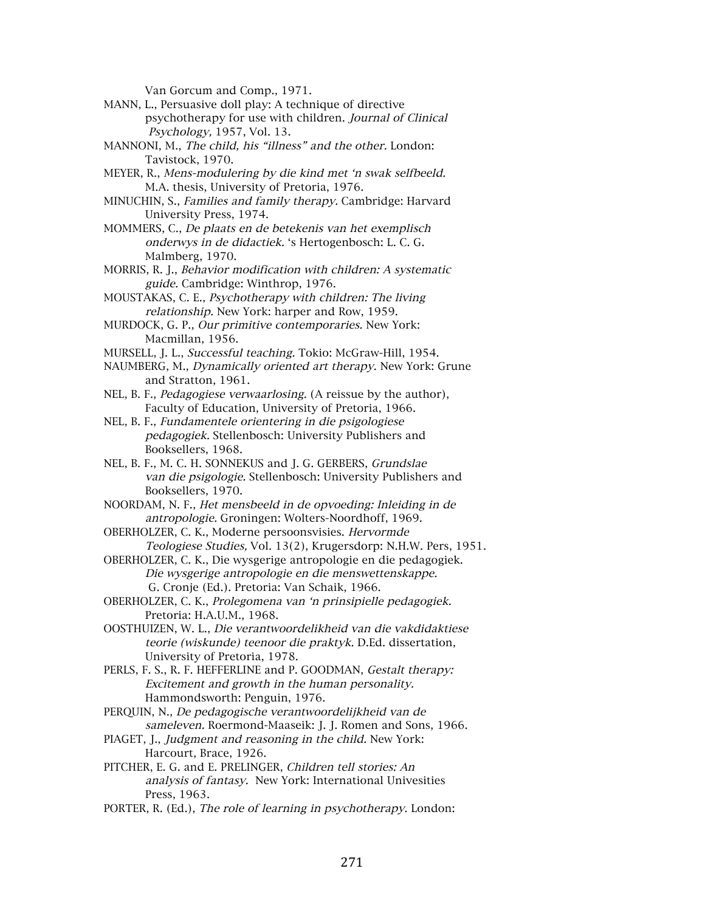Van Gorcum and Comp., 1971.

- MANN, L., Persuasive doll play: A technique of directive psychotherapy for use with children. Journal of Clinical Psychology, 1957, Vol. 13.
- MANNONI, M., The child, his "illness" and the other. London: Tavistock, 1970.
- MEYER, R., Mens-modulering by die kind met 'n swak selfbeeld. M.A. thesis, University of Pretoria, 1976.
- MINUCHIN, S., Families and family therapy. Cambridge: Harvard University Press, 1974.
- MOMMERS, C., De plaats en de betekenis van het exemplisch onderwys in de didactiek. 's Hertogenbosch: L. C. G. Malmberg, 1970.
- MORRIS, R. J., Behavior modification with children: A systematic guide. Cambridge: Winthrop, 1976.
- MOUSTAKAS, C. E., Psychotherapy with children: The living relationship. New York: harper and Row, 1959.
- MURDOCK, G. P., Our primitive contemporaries. New York: Macmillan, 1956.
- MURSELL, J. L., Successful teaching. Tokio: McGraw-Hill, 1954.
- NAUMBERG, M., Dynamically oriented art therapy. New York: Grune and Stratton, 1961.
- NEL, B. F., Pedagogiese verwaarlosing. (A reissue by the author), Faculty of Education, University of Pretoria, 1966.
- NEL, B. F., Fundamentele orientering in die psigologiese pedagogiek. Stellenbosch: University Publishers and Booksellers, 1968.
- NEL, B. F., M. C. H. SONNEKUS and J. G. GERBERS, Grundslae van die psigologie. Stellenbosch: University Publishers and Booksellers, 1970.
- NOORDAM, N. F., Het mensbeeld in de opvoeding: Inleiding in de antropologie. Groningen: Wolters-Noordhoff, 1969.
- OBERHOLZER, C. K., Moderne persoonsvisies. Hervormde Teologiese Studies, Vol. 13(2), Krugersdorp: N.H.W. Pers, 1951.
- OBERHOLZER, C. K., Die wysgerige antropologie en die pedagogiek. Die wysgerige antropologie en die menswettenskappe. G. Cronje (Ed.). Pretoria: Van Schaik, 1966.
- OBERHOLZER, C. K., Prolegomena van 'n prinsipielle pedagogiek. Pretoria: H.A.U.M., 1968.
- OOSTHUIZEN, W. L., Die verantwoordelikheid van die vakdidaktiese teorie (wiskunde) teenoor die praktyk. D.Ed. dissertation, University of Pretoria, 1978.
- PERLS, F. S., R. F. HEFFERLINE and P. GOODMAN, Gestalt therapy: Excitement and growth in the human personality. Hammondsworth: Penguin, 1976.
- PERQUIN, N., De pedagogische verantwoordelijkheid van de sameleven. Roermond-Maaseik: J. J. Romen and Sons, 1966.
- PIAGET, J., Judgment and reasoning in the child. New York: Harcourt, Brace, 1926.
- PITCHER, E. G. and E. PRELINGER, Children tell stories: An analysis of fantasy. New York: International Univesities Press, 1963.
- PORTER, R. (Ed.), The role of learning in psychotherapy. London: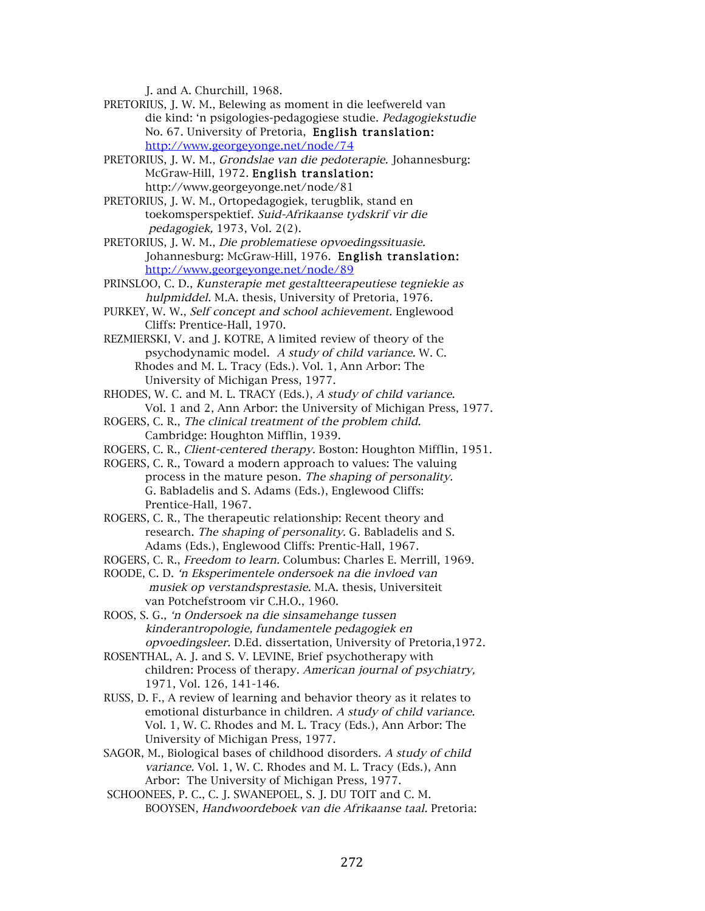J. and A. Churchill, 1968.

- PRETORIUS, J. W. M., Belewing as moment in die leefwereld van die kind: 'n psigologies-pedagogiese studie. Pedagogiekstudie No. 67. University of Pretoria, English translation: http://www.georgeyonge.net/node/74
- PRETORIUS, J. W. M., Grondslae van die pedoterapie. Johannesburg: McGraw-Hill, 1972. English translation: http://www.georgeyonge.net/node/81
- PRETORIUS, J. W. M., Ortopedagogiek, terugblik, stand en toekomsperspektief. Suid-Afrikaanse tydskrif vir die pedagogiek, 1973, Vol. 2(2).
- PRETORIUS, J. W. M., Die problematiese opvoedingssituasie. Johannesburg: McGraw-Hill, 1976. English translation: http://www.georgeyonge.net/node/89
- PRINSLOO, C. D., Kunsterapie met gestaltteerapeutiese tegniekie as hulpmiddel. M.A. thesis, University of Pretoria, 1976.
- PURKEY, W. W., Self concept and school achievement. Englewood Cliffs: Prentice-Hall, 1970.
- REZMIERSKI, V. and J. KOTRE, A limited review of theory of the psychodynamic model. A study of child variance. W. C. Rhodes and M. L. Tracy (Eds.). Vol. 1, Ann Arbor: The University of Michigan Press, 1977.
- RHODES, W. C. and M. L. TRACY (Eds.), A study of child variance. Vol. 1 and 2, Ann Arbor: the University of Michigan Press, 1977.
- ROGERS, C. R., The clinical treatment of the problem child. Cambridge: Houghton Mifflin, 1939.
- ROGERS, C. R., Client-centered therapy. Boston: Houghton Mifflin, 1951.
- ROGERS, C. R., Toward a modern approach to values: The valuing process in the mature peson. The shaping of personality. G. Babladelis and S. Adams (Eds.), Englewood Cliffs: Prentice-Hall, 1967.
- ROGERS, C. R., The therapeutic relationship: Recent theory and research. The shaping of personality. G. Babladelis and S. Adams (Eds.), Englewood Cliffs: Prentic-Hall, 1967.
- ROGERS, C. R., Freedom to learn. Columbus: Charles E. Merrill, 1969.
- ROODE, C. D. 'n Eksperimentele ondersoek na die invloed van musiek op verstandsprestasie. M.A. thesis, Universiteit van Potchefstroom vir C.H.O., 1960.
- ROOS, S. G., 'n Ondersoek na die sinsamehange tussen kinderantropologie, fundamentele pedagogiek en opvoedingsleer. D.Ed. dissertation, University of Pretoria,1972.
- ROSENTHAL, A. J. and S. V. LEVINE, Brief psychotherapy with children: Process of therapy. American journal of psychiatry, 1971, Vol. 126, 141-146.
- RUSS, D. F., A review of learning and behavior theory as it relates to emotional disturbance in children. A study of child variance. Vol. 1, W. C. Rhodes and M. L. Tracy (Eds.), Ann Arbor: The University of Michigan Press, 1977.
- SAGOR, M., Biological bases of childhood disorders. A study of child variance. Vol. 1, W. C. Rhodes and M. L. Tracy (Eds.), Ann Arbor: The University of Michigan Press, 1977.
- SCHOONEES, P. C., C. J. SWANEPOEL, S. J. DU TOIT and C. M. BOOYSEN, Handwoordeboek van die Afrikaanse taal. Pretoria: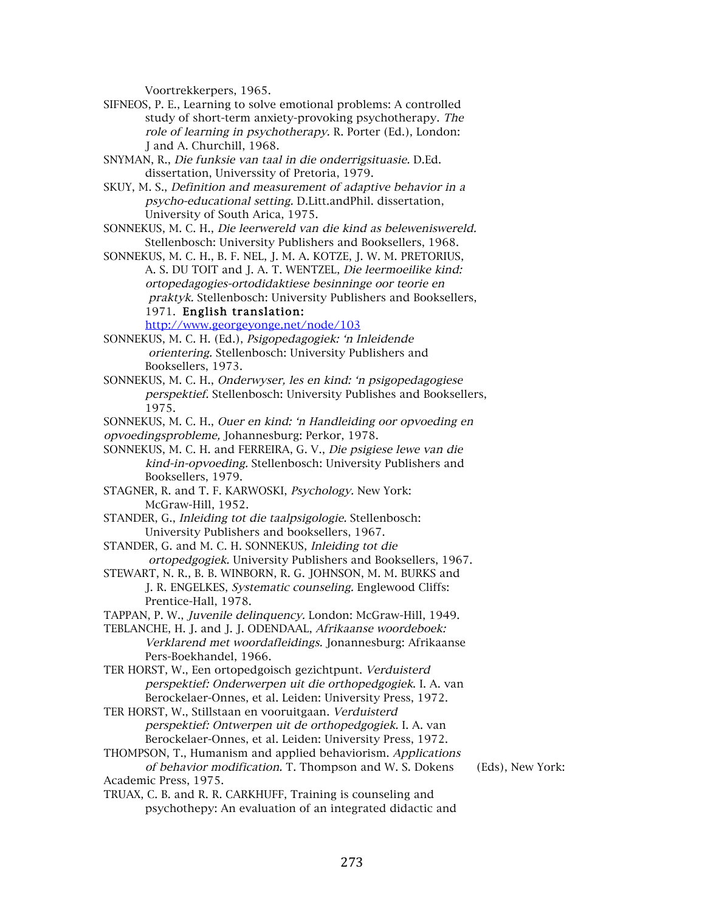Voortrekkerpers, 1965.

- SIFNEOS, P. E., Learning to solve emotional problems: A controlled study of short-term anxiety-provoking psychotherapy. The role of learning in psychotherapy. R. Porter (Ed.), London: J and A. Churchill, 1968.
- SNYMAN, R., Die funksie van taal in die onderrigsituasie. D.Ed. dissertation, Universsity of Pretoria, 1979.
- SKUY, M. S., Definition and measurement of adaptive behavior in a psycho-educational setting. D.Litt.andPhil. dissertation, University of South Arica, 1975.
- SONNEKUS, M. C. H., Die leerwereld van die kind as beleweniswereld. Stellenbosch: University Publishers and Booksellers, 1968.
- SONNEKUS, M. C. H., B. F. NEL, J. M. A. KOTZE, J. W. M. PRETORIUS, A. S. DU TOIT and J. A. T. WENTZEL, Die leermoeilike kind: ortopedagogies-ortodidaktiese besinninge oor teorie en praktyk. Stellenbosch: University Publishers and Booksellers, 1971. English translation:

http://www.georgeyonge.net/node/103

- SONNEKUS, M. C. H. (Ed.), Psigopedagogiek: 'n Inleidende orientering. Stellenbosch: University Publishers and Booksellers, 1973.
- SONNEKUS, M. C. H., Onderwyser, les en kind: 'n psigopedagogiese perspektief. Stellenbosch: University Publishes and Booksellers, 1975.

SONNEKUS, M. C. H., Ouer en kind: 'n Handleiding oor opvoeding en opvoedingsprobleme, Johannesburg: Perkor, 1978.

- SONNEKUS, M. C. H. and FERREIRA, G. V., Die psigiese lewe van die kind-in-opvoeding. Stellenbosch: University Publishers and Booksellers, 1979.
- STAGNER, R. and T. F. KARWOSKI, Psychology. New York: McGraw-Hill, 1952.
- STANDER, G., Inleiding tot die taalpsigologie. Stellenbosch: University Publishers and booksellers, 1967.
- STANDER, G. and M. C. H. SONNEKUS, Inleiding tot die ortopedgogiek. University Publishers and Booksellers, 1967.
- STEWART, N. R., B. B. WINBORN, R. G. JOHNSON, M. M. BURKS and J. R. ENGELKES, Systematic counseling. Englewood Cliffs: Prentice-Hall, 1978.
- TAPPAN, P. W., Juvenile delinquency. London: McGraw-Hill, 1949.

TEBLANCHE, H. J. and J. J. ODENDAAL, Afrikaanse woordeboek: Verklarend met woordafleidings. Jonannesburg: Afrikaanse Pers-Boekhandel, 1966.

- TER HORST, W., Een ortopedgoisch gezichtpunt. Verduisterd perspektief: Onderwerpen uit die orthopedgogiek. I. A. van Berockelaer-Onnes, et al. Leiden: University Press, 1972.
- TER HORST, W., Stillstaan en vooruitgaan. Verduisterd perspektief: Ontwerpen uit de orthopedgogiek. I. A. van Berockelaer-Onnes, et al. Leiden: University Press, 1972.
- THOMPSON, T., Humanism and applied behaviorism. Applications of behavior modification. T. Thompson and W. S. Dokens (Eds), New York: Academic Press, 1975.
- TRUAX, C. B. and R. R. CARKHUFF, Training is counseling and psychothepy: An evaluation of an integrated didactic and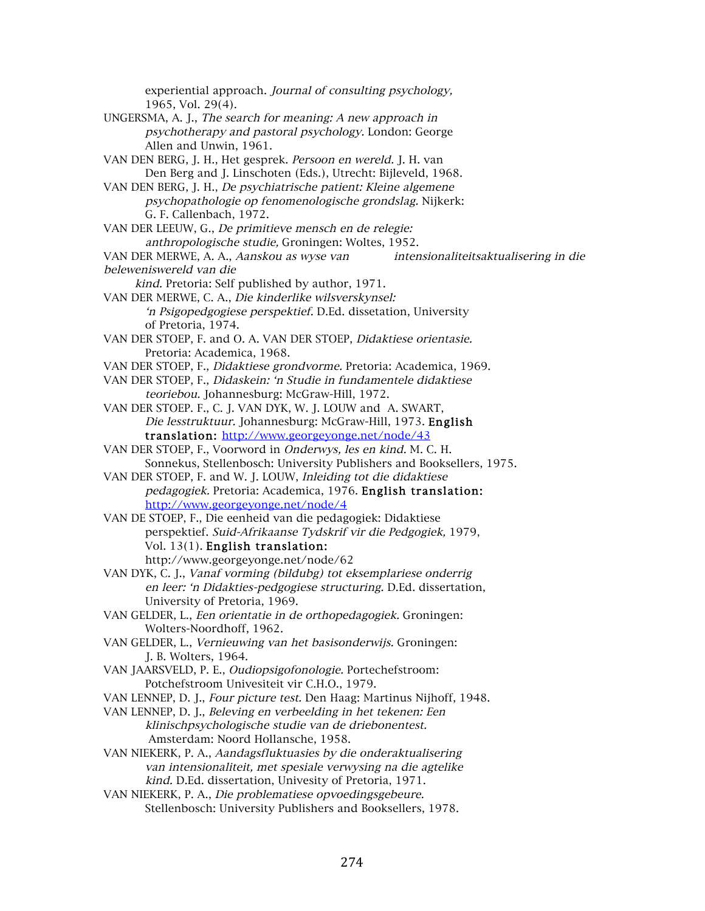experiential approach. Journal of consulting psychology, 1965, Vol. 29(4). UNGERSMA, A. J., The search for meaning: A new approach in psychotherapy and pastoral psychology. London: George Allen and Unwin, 1961. VAN DEN BERG, J. H., Het gesprek. Persoon en wereld. J. H. van Den Berg and J. Linschoten (Eds.), Utrecht: Bijleveld, 1968. VAN DEN BERG, J. H., De psychiatrische patient: Kleine algemene psychopathologie op fenomenologische grondslag. Nijkerk: G. F. Callenbach, 1972. VAN DER LEEUW, G., De primitieve mensch en de relegie: anthropologische studie, Groningen: Woltes, 1952. VAN DER MERWE, A. A., Aanskou as wyse van intensionaliteitsaktualisering in die beleweniswereld van die kind. Pretoria: Self published by author, 1971. VAN DER MERWE, C. A., Die kinderlike wilsverskynsel: 'n Psigopedgogiese perspektief. D.Ed. dissetation, University of Pretoria, 1974. VAN DER STOEP, F. and O. A. VAN DER STOEP, Didaktiese orientasie. Pretoria: Academica, 1968. VAN DER STOEP, F., Didaktiese grondvorme. Pretoria: Academica, 1969. VAN DER STOEP, F., Didaskein: 'n Studie in fundamentele didaktiese teoriebou. Johannesburg: McGraw-Hill, 1972. VAN DER STOEP. F., C. J. VAN DYK, W. J. LOUW and A. SWART, Die lesstruktuur. Johannesburg: McGraw-Hill, 1973. English translation: http://www.georgeyonge.net/node/43 VAN DER STOEP, F., Voorword in Onderwys, les en kind. M. C. H. Sonnekus, Stellenbosch: University Publishers and Booksellers, 1975. VAN DER STOEP, F. and W. J. LOUW, Inleiding tot die didaktiese pedagogiek. Pretoria: Academica, 1976. English translation: http://www.georgeyonge.net/node/4 VAN DE STOEP, F., Die eenheid van die pedagogiek: Didaktiese perspektief. Suid-Afrikaanse Tydskrif vir die Pedgogiek, 1979, Vol. 13(1). English translation: http://www.georgeyonge.net/node/62 VAN DYK, C. J., Vanaf vorming (bildubg) tot eksemplariese onderrig en leer: 'n Didakties-pedgogiese structuring. D.Ed. dissertation, University of Pretoria, 1969. VAN GELDER, L., Een orientatie in de orthopedagogiek. Groningen: Wolters-Noordhoff, 1962. VAN GELDER, L., Vernieuwing van het basisonderwijs. Groningen: J. B. Wolters, 1964. VAN JAARSVELD, P. E., Oudiopsigofonologie. Portechefstroom: Potchefstroom Univesiteit vir C.H.O., 1979. VAN LENNEP, D. J., Four picture test. Den Haag: Martinus Nijhoff, 1948. VAN LENNEP, D. J., Beleving en verbeelding in het tekenen: Een klinischpsychologische studie van de driebonentest. Amsterdam: Noord Hollansche, 1958. VAN NIEKERK, P. A., Aandagsfluktuasies by die onderaktualisering van intensionaliteit, met spesiale verwysing na die agtelike kind. D.Ed. dissertation, Univesity of Pretoria, 1971. VAN NIEKERK, P. A., Die problematiese opvoedingsgebeure. Stellenbosch: University Publishers and Booksellers, 1978.